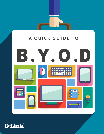

# **A QUICK GUIDE TO**



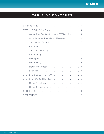

# **TABLE OF CONTENTS**

|                   | <b>INTRODUCTION</b>                          | . 3                                                                                                                                                                                                                            |     |  |                                   |  |                                                  |  |                |
|-------------------|----------------------------------------------|--------------------------------------------------------------------------------------------------------------------------------------------------------------------------------------------------------------------------------|-----|--|-----------------------------------|--|--------------------------------------------------|--|----------------|
|                   | STEP 1: DEVELOP A PLAN                       |                                                                                                                                                                                                                                |     |  |                                   |  |                                                  |  | $\overline{4}$ |
|                   | Create (the First Draft of) Your BYOD Policy |                                                                                                                                                                                                                                |     |  |                                   |  |                                                  |  | $\overline{4}$ |
|                   | Compliance and Regulatory Measures           |                                                                                                                                                                                                                                |     |  |                                   |  |                                                  |  | $\overline{4}$ |
|                   | Security and Control. 5                      |                                                                                                                                                                                                                                |     |  |                                   |  |                                                  |  |                |
|                   | App Access                                   | . The second contract is a second contract of the second contract $\mathcal{L}_\text{c}$                                                                                                                                       |     |  |                                   |  |                                                  |  | -5             |
|                   | Your Security Policy                         |                                                                                                                                                                                                                                |     |  |                                   |  |                                                  |  | 6              |
|                   | <b>App Security</b>                          | <u>. 6</u>                                                                                                                                                                                                                     |     |  |                                   |  |                                                  |  |                |
|                   | New Apps                                     | a construction of the contract of the construction of the construction of the construction of the construction of the construction of the construction of the construction of the construction of the construction of the cons |     |  |                                   |  |                                                  |  | 6              |
|                   | User Privacy                                 |                                                                                                                                                                                                                                | . 6 |  |                                   |  |                                                  |  |                |
|                   | Mobile Data Costs 7                          |                                                                                                                                                                                                                                |     |  |                                   |  |                                                  |  |                |
|                   | Permission                                   |                                                                                                                                                                                                                                | . 7 |  |                                   |  |                                                  |  |                |
|                   | STEP 2: DISCUSS THE PLAN 8                   |                                                                                                                                                                                                                                |     |  |                                   |  |                                                  |  |                |
|                   | STEP 3: CHOOSE THE PLAN 9                    |                                                                                                                                                                                                                                |     |  |                                   |  |                                                  |  |                |
|                   | Option 1: Software 9                         |                                                                                                                                                                                                                                |     |  |                                   |  |                                                  |  |                |
|                   | Option 2: Hardware 10                        |                                                                                                                                                                                                                                |     |  |                                   |  |                                                  |  |                |
|                   | CONCLUSION                                   |                                                                                                                                                                                                                                |     |  | <b>Contract Contract Contract</b> |  | <b><i>Charles Committee Committee States</i></b> |  | 11             |
| <b>REFERENCES</b> |                                              | and a series of the control of the control of the control of the control of the control of the control of the control of the control of the control of the control of the control of the control of the control of the control |     |  |                                   |  |                                                  |  | 12             |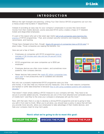# **INTRODUCTION**

<span id="page-2-0"></span>Without the right foresight and planning, a Bring Your Own Device (BYOD) programme can turn into a messy project that burdens IT departments.

Instead of providing an easy way for your company's employees to access files (and stream movies from their mobile devices), poorly executed BYOD policy creates a heap of IT helpdesk tickets and disgruntled employees.

It's part of the reason why just a few years ago nearly [half of all companies were banning the](http://half of all companies were banning the practice )  [practice](http://half of all companies were banning the practice ) of BYOD programmes.1 That, and constant security concerns over breaches, malware, ransomware, and hacking.

Things have changed since then, though. [Nearly 60 percent of companies have a BYOD plan](https://www.forbes.com/sites/lilachbullock/2019/01/21/the-future-of-byod-statistics-predictions-and-best-practices-to-prep-for-the-future/#61b002f01f30)<sup>2</sup> in place today. Those companies are reaping the benefits, too.

Here are just a few of them:

- Employees at companies with BYOD programmes [save an](https://insights.samsung.com/2016/08/03/employees-say-smartphones-boost-productivity-by-34-percent-frost-sullivan-research/)  [average of 58 minutes each day and are 34 percent more](https://insights.samsung.com/2016/08/03/employees-say-smartphones-boost-productivity-by-34-percent-frost-sullivan-research/)  [productive.](https://insights.samsung.com/2016/08/03/employees-say-smartphones-boost-productivity-by-34-percent-frost-sullivan-research/)3
- BYOD programmes can save companies up to \$350 per employee.4
- Employee devices are often more modern, and sometimes more powerful, than company devices.
- Newer devices help prevent the nearly \$2 billion companies lose each year<sup>6</sup> in lost productivity due to outdated and obsolete technology.



Not only can a properly implemented BYOD programme save you time and money, it can also help you improve security measures. One of the main reasons companies are hacked or suffer data breaches is because [they're still using outdated systems with weakened](https://www.bitsight.com/press-releases/thousands-organizations-run-majority-of-computers-on-outdated-operating-systems)  security.<sup>5</sup>

That doesn't mean simply adding a BYOD measure to your company will help. They have to be secure to provide added security. Smartphones are one of the most attacked and vulnerable pieces of mobile tech—and they're the ones your company's employees will use the most.<sup>9</sup>

Now, with that said, there is a way to develop a strong BYOD programme and we're going to help you with it from start to finish. When you're all done, you should have a policy in place that will help you provide more security, allow your employees to take advantage of their mobile devices, and help your company meet its long-term goals.

## **Here's what we're going to do to meet this goal:**

**[DEVELOP THE PLAN](#page-3-0) • [DISCUSS THE PLAN](#page-7-0) • [CHOOSE THE PLAN](#page-8-0)**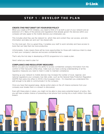# <span id="page-3-0"></span>**STEP 1 - DEVELOP THE PLAN**

### **CREATE (THE FIRST DRAFT OF) YOUR BYOD POLICY**

When you create a BYOD initiative, you need to think of it as both a part of your network and an extension of it. Many of the policies and regulations that already govern the devices within your company will also apply to the mobile devices your employees use.

This includes what they use the network for, which files and content they can access, and who information and data can and can't be shared with.

For the most part, this is a great thing. It enables your staff to work remotely and have access to tools that can help them be more productive.

Unfortunately, it also means there will be more opportunities for those with malicious intent to steal or hack your company's devices and access confidential data.

That's why the first step in developing a BYOD programme is to create a plan.

Here's what you need to plan for:

### **COMPLIANCE AND REGULATORY MEASURES**

Before you give your employees the ability to access confidential company information from the comfort of their favourite coffee shop, make sure you have a strong understanding of all the regulatory measures you need to meet in order to maintain compliance.

Opening up your network to mobile devices may increase the number of local, regional, and national regulations your company now falls under, such as the General Data Protection Regulation (GDPR) that came into effect in 2018 in the European Union. It's important you understand this well enough to be able to communicate it to the company.

Once you have that squared away, devise action plans on the off chance someone from your company ever breaks them or a breach is discovered.

Even with these plans in place, you might not be able to stop every potential breach of policy. But you will have a better chance of preventing a lost phone from turning into a multi-million-Euro data breach.

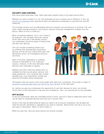## <span id="page-4-0"></span>**SECURITY AND CONTROL**

Ever since there have been rules, there have been people trying to find ways around them.

Whether you want to admit it or not, the employees at your company are no different. In fact, 95 [percent of companies](https://www.hrdive.com/news/employees-use-personal-devices-for-work-without-much-oversight/523913/) have reported at least one attempt by employees to override their security measures.<sup>7</sup>

This includes actions such as jailbreaking devices to bypass root permissions on Android, iOS, and other mobile operating systems, and trying to remove corporate management software from the device. (More on this in a little bit.)

When something happens, not if, you'll need to be prepared. This includes having an internal action plan and a set of disciplinary actions your employees should be aware of before they use their own devices.

This can include something simple such as software that automatically quarantines devices until all security criteria have been met, disciplinary action, an investigative protocol, and more.

Most of the time, jailbreaking or software removal is attempted for non-malicious reasons. However, it will most definately make devices more vulnerable to attacks.

Malware and other malicious attacks prey on outdated and less secure apps, devices, and weak passwords. Your corporate files contain valuable and, more importantly, private and personal information about employees.



HR Systems files are some of the most sought after data from companies. One profile or folder of [someone's personal data alone can sell for as much as \\$50](https://www.hrdive.com/news/hris-ats-technology-is-big-target-of-cybertheft/435599/) on the dark web.<sup>8</sup>

So, before you give your employees the opportunity to use their devices for work, you should inform them of the importance of security and compliance. Then, you should plan for the inevitable.

#### **APP ACCESS**

As we just mentioned, apps are vulnerable points of entry, and you'll need to determine which ones can be used on employee devices and how you'll monitor them.

Some of this may be determined by what you need to do to ensure compliance. Not all apps will meet the security standards or regulations you have to maintain. Beyond that, the rest is up to you and open to discussion. (More on that in Step 2.)

While you plan this, here are some factors you should consider.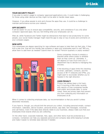### <span id="page-5-0"></span>**YOUR SECURITY POLICY**

If you plan to restrict usage to company-approved applications only, it could make it challenging for those using older devices as they might not be able to handle newer apps.

However, if you allow people to pick and choose the apps they use, it could be a challenge to maintain performance across your network.

#### **APP SECURITY**

It will be easier for you to ensure app compatibility, security, and compliance if you only allow company-approved apps. But you risk limiting what your employees can do.

After all, while Facebook and Twitter might be distractions that lead to lost productivity for some people, your social media manager might need the app to stay on top of posts and comments on your company pages.

#### **NEW APPS**

Your employees are always searching for new software and apps to help them do their jobs. If they find a new one, how will you handle new software or apps your employees want to use? Will you allow them to add them as needed? Submit them for review? Perform quarterly or yearly reviews?



Some companies choose to employ a blacklist while others prefer to whitelist them as they come up. Ultimately, it will depend on how much time your IT department has to devote to managing this process.

If the blocking of apps limits the checking of email, calendars, contacts, and the access of Wi-Fi networks and VPNs, you might want to reconsider whether you're headed in the right direction.

### **USER PRIVACY**

Privacy has always been a hot topic, but it's burning a little hotter recently with reports of how companies handle both public and private data. In some cases, there are privacy laws that prevent you from collecting any information on employees at all.

When it comes to collecting employee data, our recommendation is that you avoid it unless absolutely necessary.

If you have to, though, you should limit the amount you collect, including personal emails, contact information, calendars, device location, personal photos, app data, text messages, voicemail, and call history. Even if the data does directly relate to your business, always make sure that your employees know exactly what you are collecting.

On the other hand, corporate materials, files, apps, and other items must be protected by a company. Containers can help you separate personal and company data while keeping it private and make it easier to remotely wipe devices if needed.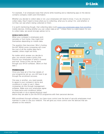<span id="page-6-0"></span>For example, if an employee loses their phone while traveling and a ridesharing app on the device contains company credit card information.

Whether you decide to collect data or not, your employees will need to know. If you do choose to collect data, they'll need to know what you're collecting, what you're using it for, and whether or not they can see what's being collected on them.

It is worth mentioning though, that collecting data could scare your employees away from enrolling mobile devices, limiting whether you can collect data at all.<sup>10</sup> Unless there is a valid reason for you to collect data, we would strongly advise not to.

#### **MOBILE DATA COSTS**

When your company's employees work remotely or from home, they might find themselves depending on mobile data.

The question then becomes: Who's footing the bill? Whilst some companies will cover the cost of all the mobile data that's needed, others might set limits.

No matter which answer you decide to give, you should create a policy that informs your employees of what's covered and how. Some of this can be done through your BYOD software. (More on that later.)

### **PERMISSION**

Once you have all of the finer details of your programme set up, you still have to go through the enrollment process.

One way or another, you need people to agree to your company's terms and conditions in order to use it. Many companies do this through management software. Make sure your employees agree to these terms and conditions (either electronically or via a signed physical copy)



before they are able to join the BYOD programme with their personal devices.

With enrollment through software, you have more control over the level of security employees must maintain in order to use your network. This will give you more control over the devices that are allowed on the network.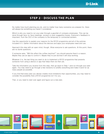# **STEP 2 - DISCUSS THE PLAN**

<span id="page-7-0"></span>No matter how much planning you do, and no matter how many scenarios you prepare for, there will always be something you haven't considered.

Which is why you need to run your plan through a gauntlet of company employees. This can be done through face-to-face meetings, surveys or even suggestion boxes. Everyone's feedback is important, from the CEO of the company to the temporary or contracted workers.

Use this opportunity to explain your reasons for the BYOD programme and all of the policies included in it. Gather information about the devices and apps your employees need and use.

Approach this step with an open mind, though. Allow everyone to ask questions. At this point, there are no dumb questions.

If someone asks, "Will this affect the coffee machine?" you should assume there's a reason. Maybe they use an app to control it. Maybe they're just worried it will stop working.

Whatever it is, the last thing you want to do is implement a BYOD programme that prevents someone from using a device or app that helps them do their job.

Take the information you receive from this step, then go back to Step 1 and run through your plan again. You may need to go through a few revisions to solidify everything and make it work for as many people as possible.

If you find that every plan you devise creates more limitations than opportunities, you may need to consider the possibility that a BYOD programme isn't for you.

That, or you need to start over again and figure out a new plan.

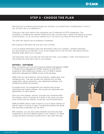# **STEP 3 - CHOOSE THE PLAN**

<span id="page-8-0"></span>Now that you've finished going through your revisions, you should have a finalised plan in front of you. All that's left is to implement it.

There are a few main options that companies use to implement a BYOD programme. One possibility is modifying the network infrastructure they currently have in place and setting up access control policies. It's an old school method, but it can work if you have the time and know-how.

The other two options are via software or hardware.

We're going to talk about the pros and cons of these.

If you've already developed a plan and discussed it with your company, consider everything you discovered as you read this. If you're just reading this for the first time, think about how the following might affect your company.

Just know that, even if you like one more than the other, your budget, IT staff, and infrastructure may dictate the route that's best for you anyway.

#### **OPTION 1 - SOFTWARE**

Many companies opt to go with Enterprise Mobility Management (EMM) or Mobile Device Management (MDM) software for their BYOD programme. Most EMM tools include a form of MDM or Mobile Application Management (MAM) as part of the package.

EMMs help you enroll devices, enforce policies, update apps, and manage access. They also include nifty features such as data usage alerts, device quarantine, user-agreement software, and simplified enrollment procedures.

As people enroll, the management tool requires each person downloads and installs software, plus accept any applicable user agreements, for each device.

Since all of the settings, policies, and apps are contained within the software, which is housed on a server or the cloud, you have more control over the network, its security, and its performance.

EMM and MDM options make it easier for you to adjust settings for specific apps or a group of apps, including the policies that guide how and when employees can use them.

With software, you can also create separate accounts and login credentials for all of the different apps on your network. It's easier to keep sensitive information private and it's also safer this way.

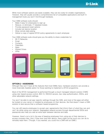**D-Link** 

<span id="page-9-0"></span>While most software options are easily scalable, they can be costly for smaller organisations. However, they will usually provide a comprehensive list of compatible applications and built-in management tools you won't find through hardware.

Your EMM software suite should:

- Make it easy for employees to sign up
- Reduce, or eliminate, IT helpdesk tickets
- Provide password reset options
- Include lost device location
- Allow remote data wiping
- Deliver a copy of signed BYOD policy agreements to each employee

Your EMM software suite should give you the ability to share credentials for:

- Wi-Fi Networks
- Email
- Contacts
- **Calendars**
- Apps
- **Shared Drives**
- VPNs



### **OPTION 2 - HARDWARE**

Although they won't have all the features that most EMMs have, hardware solutions can provide a more financially feasible option for those wanting to implement a BYOD programme.

Most of the BYOD management is performed through a cloud-managed network solution (CMN) using role-based access control, 802.1X, RADIUS servers, two-step authentication, SSIDs, and other adjustable network settings.

You won't be able to set app-specific settings through the CMN, and most of the apps will either be hosted on your server or installed by employees on their devices. But that doesn't mean a CMN solution is less secure than a software-based programme.

You can still require employees to accept user-agreements that inform them of what they can and can't do while using your network. Segregated network access through departmental SSIDs and passwords also help you add an extra layer between devices and data.

However, there's not a lot in the way of keeping employees from using any of their devices to access company files. And, if they ever lose their device, there might not be much you can do to remotely wipe them. (Though, if you wanted, you could mix a CMN with an EMM.)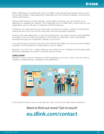<span id="page-10-0"></span>While a CMN doesn't provide all the tools of an EMM, it does provide three benefits that you won't find through software—rapid deployment, predictable and cost-effective scalability, and improved network performance.

Because CMN solutions include switches, access points, and more, you can use them as an opportunity to upgrade your network. This is especially true if an EMM doesn't make sense for your organisation, but you still want to implement a BYOD programme.

If anything, you could use this as an opportunity to refresh your network, gutting out old switches nearing the end of their life and APs using older, less secure wireless standards.

Solutions with rapid deployment, or zero-touch deployment, also make it simple to add bandwidth as needed. Once you install new switches or APs where you need them, they'll automatically download and copy any configuration settings you've set up.

It's a real time saver and may prove more cost-effective than EMM if you ever find yourself adding hundreds or even thousands of mobile devices, such as tablets.

Basically, it's a nice 2-for-1 option where you can justify the cost of adding new technology while giving your employees the chance to use their devices at work.

### **CONCLUSION**

Whether or not you want to implement a BYOD programme is up to you. There's a lot you need to consider, including security, compliance, and applications.



If you decide the time is now, we can help you—even if all you have right now are questions.

# Want to find out more? Get in touch! **eu.dlink.com/contact**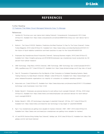# **D-Link**

# **REFERENCES**

#### <span id="page-11-0"></span>Further Reading: [12 Features That Make Cloud-Managed Networks Easy To Manage](http://go.dlink.com/12-Features-Ebook)

#### References

- 1. Hamblen M. The bring-your-own-device fad is fading [Internet]. Computerworld. Computerworld; 2015 [cited 2019Jun12]. Available from: https://www.computerworld.com/article/2948470/the-bring-your-own-device-fad-isfading.html
- 2. Bullock L. The Future Of BYOD: Statistics, Predictions And Best Practices To Prep For The Future [Internet]. Forbes. Forbes Magazine; 2019 [cited 2019Jun12]. Available from: https://www.forbes.com/sites/lilachbullock/2019/01/21/ the-future-of-byod-statistics-predictions-and-best-practices-to-prep-for-the-future/#61b002f01f30
- 3. Employees Say Smartphones Boost Productivity [Internet]. Samsung Business Insights. 2018 [cited 2019Jun12]. Available from: https://insights.samsung.com/2016/08/03/employees-say-smartphones-boost-productivity-by-34 percent-frost-sullivan-research/
- 4. DMS Technology. 3 Big Risks of BYOD [Internet]. DMS Technology. DMS Technology /wp-content/uploads/2016/01/ DMS\_LogoBlack.png; 2017 [cited 2019Jun12]. Available from: https://www.dmstechnology.com/3-big-risks-of-byod/
- 5. Dacri B. Thousands of Organizations Run the Majority of their Computers on Outdated Operating Systems, Nearly Tripling Chances of a Data Breach [Internet]. BitSight. [cited 2019Jun12]. Available from: https://www.bitsight.com/ press-releases/thousands-organizations-run-majority-of-computers-on-outdated-operating-systems
- 6. bizjournals.com. [cited 2019Jun12]. Available from: https://www.bizjournals.com/phoenix/news/2018/11/15/outdatedtechnology-costs-businesses-more-than-it.html
- 7. Bolden-Barrett V. Employees use personal devices for work without much oversight [Internet]. HR Dive. 2018 [cited 2019Jun12]. Available from: https://www.hrdive.com/news/employees-use-personal-devices-for-work-withoutmuch-oversight/523913/
- 8. Bolden-Barrett V. HRIS, ATS technology is big target of cybertheft [Internet]. HR Dive. 2017 [cited 2019Jun12]. Available from: https://www.hrdive.com/news/hris-ats-technology-is-big-target-of-cybertheft/435599/
- 9. Ng A. Your smartphones are getting more valuable for hackers [Internet]. CNET. CNET; 2018 [cited 2019Jun12]. Available from: https://www.cnet.com/news/your-smartphones-are-getting-more-valuable-for-hackers/
- 10. IoT and BYOD Devices Bring Holiday Fear [Internet]. GetApp Lab. 2019 [cited 2019Jun12]. Available from: https://lab. getapp.com/iot-and-byod-devices/